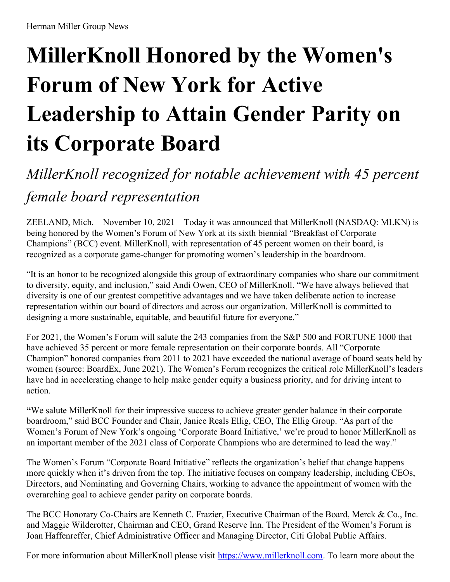# **MillerKnoll Honored by the Women's Forum of New York for Active Leadership to Attain Gender Parity on its Corporate Board**

## *MillerKnoll recognized for notable achievement with 45 percent female board representation*

ZEELAND, Mich. – November 10, 2021 – Today it was announced that MillerKnoll (NASDAQ: MLKN) is being honored by the Women's Forum of New York at its sixth biennial "Breakfast of Corporate Champions" (BCC) event. MillerKnoll, with representation of 45 percent women on their board, is recognized as a corporate game-changer for promoting women's leadership in the boardroom.

"It is an honor to be recognized alongside this group of extraordinary companies who share our commitment to diversity, equity, and inclusion," said Andi Owen, CEO of MillerKnoll. "We have always believed that diversity is one of our greatest competitive advantages and we have taken deliberate action to increase representation within our board of directors and across our organization. MillerKnoll is committed to designing a more sustainable, equitable, and beautiful future for everyone."

For 2021, the Women's Forum will salute the 243 companies from the S&P 500 and FORTUNE 1000 that have achieved 35 percent or more female representation on their corporate boards. All "Corporate Champion" honored companies from 2011 to 2021 have exceeded the national average of board seats held by women (source: BoardEx, June 2021). The Women's Forum recognizes the critical role MillerKnoll's leaders have had in accelerating change to help make gender equity a business priority, and for driving intent to action.

**"**We salute MillerKnoll for their impressive success to achieve greater gender balance in their corporate boardroom," said BCC Founder and Chair, Janice Reals Ellig, CEO, The Ellig Group. "As part of the Women's Forum of New York's ongoing 'Corporate Board Initiative,' we're proud to honor MillerKnoll as an important member of the 2021 class of Corporate Champions who are determined to lead the way."

The Women's Forum "Corporate Board Initiative" reflects the organization's belief that change happens more quickly when it's driven from the top. The initiative focuses on company leadership, including CEOs, Directors, and Nominating and Governing Chairs, working to advance the appointment of women with the overarching goal to achieve gender parity on corporate boards.

The BCC Honorary Co-Chairs are Kenneth C. Frazier, Executive Chairman of the Board, Merck & Co., Inc. and Maggie Wilderotter, Chairman and CEO, Grand Reserve Inn. The President of the Women's Forum is Joan Haffenreffer, Chief Administrative Officer and Managing Director, Citi Global Public Affairs.

For more information about MillerKnoll please visit <https://www.millerknoll.com>. To learn more about the